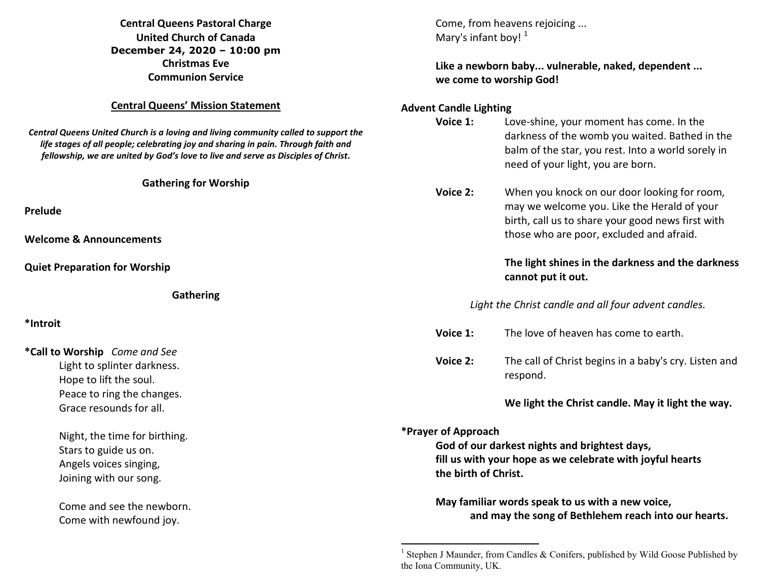**Central Queens Pastoral Charge United Church of Canada December 24, 2020 – 10:00 pm Christmas Eve Communion Service Central Queens' Mission Statement** *Central Queens United Church is a loving and living community called to support the life stages of all people; celebrating joy and sharing in pain. Through faith and fellowship, we are united by God's love to live and serve as Disciples of Christ***. Gathering for Worship Prelude Welcome & Announcements Quiet Preparation for Worship Gathering \*Introit \*Call to Worship** *Come and See* Light to splinter darkness. Hope to lift the soul. Peace to ring the changes. Grace resounds for all. Night, the time for birthing. Stars to guide us on. Angels voices singing, Joining with our song. Come and see the newborn. Come with newfound joy. Come, from heavens rejoicing ... Mary's infant boy! $<sup>1</sup>$ </sup>  **Like a newborn baby... vulnerable, naked, dependent ... we come to worship God! Advent Candle Lighting Voice 1:** Love-shine, your moment has come. In the darkness of the womb you waited. Bathed in the balm of the star, you rest. Into a world sorely in need of your light, you are born. **Voice 2:** When you knock on our door looking for room, may we welcome you. Like the Herald of your birth, call us to share your good news first with those who are poor, excluded and afraid.  **The light shines in the darkness and the darkness cannot put it out.** *Light the Christ candle and all four advent candles.* **Voice 1:** The love of heaven has come to earth. **Voice 2:** The call of Christ begins in a baby's cry. Listen and respond.  **We light the Christ candle. May it light the way.\*Prayer of Approach God of our darkest nights and brightest days, fill us with your hope as we celebrate with joyful hearts the birth of Christ. May familiar words speak to us with a new voice, and may the song of Bethlehem reach into our hearts.** 

<sup>&</sup>lt;sup>1</sup> Stephen J Maunder, from Candles & Conifers, published by Wild Goose Published by the Iona Community, UK.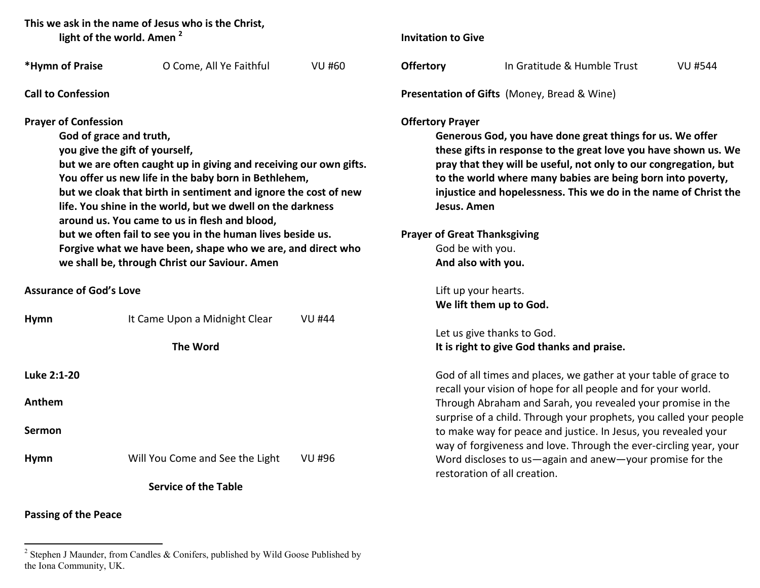**This we ask in the name of Jesus who is the Christ, light of the world. Amen <sup>2</sup>**

| *Hymn of Praise                                                                                                                                                                                                                                                                                                                                                                                                                                                                                                                                                                       | O Come, All Ye Faithful         | <b>VU #60</b> | Offer         |
|---------------------------------------------------------------------------------------------------------------------------------------------------------------------------------------------------------------------------------------------------------------------------------------------------------------------------------------------------------------------------------------------------------------------------------------------------------------------------------------------------------------------------------------------------------------------------------------|---------------------------------|---------------|---------------|
| <b>Call to Confession</b>                                                                                                                                                                                                                                                                                                                                                                                                                                                                                                                                                             |                                 |               | <b>Prese</b>  |
| <b>Prayer of Confession</b><br>God of grace and truth,<br>you give the gift of yourself,<br>but we are often caught up in giving and receiving our own gifts.<br>You offer us new life in the baby born in Bethlehem,<br>but we cloak that birth in sentiment and ignore the cost of new<br>life. You shine in the world, but we dwell on the darkness<br>around us. You came to us in flesh and blood,<br>but we often fail to see you in the human lives beside us.<br>Forgive what we have been, shape who we are, and direct who<br>we shall be, through Christ our Saviour. Amen |                                 |               | Offer<br>Pray |
| <b>Assurance of God's Love</b>                                                                                                                                                                                                                                                                                                                                                                                                                                                                                                                                                        |                                 |               |               |
| Hymn                                                                                                                                                                                                                                                                                                                                                                                                                                                                                                                                                                                  | It Came Upon a Midnight Clear   | VU #44        |               |
|                                                                                                                                                                                                                                                                                                                                                                                                                                                                                                                                                                                       | <b>The Word</b>                 |               |               |
| Luke 2:1-20                                                                                                                                                                                                                                                                                                                                                                                                                                                                                                                                                                           |                                 |               |               |
| Anthem                                                                                                                                                                                                                                                                                                                                                                                                                                                                                                                                                                                |                                 |               |               |
| <b>Sermon</b>                                                                                                                                                                                                                                                                                                                                                                                                                                                                                                                                                                         |                                 |               |               |
| <b>Hymn</b>                                                                                                                                                                                                                                                                                                                                                                                                                                                                                                                                                                           | Will You Come and See the Light | VU #96        |               |
| <b>Service of the Table</b>                                                                                                                                                                                                                                                                                                                                                                                                                                                                                                                                                           |                                 |               |               |

**Passing of the Peace** 

**Invitation to Give** 

**Offertory** In Gratitude & Humble Trust VU #544

**Presentation of Gifts** (Money, Bread & Wine)

# **Reading** Prayer

 **Generous God, you have done great things for us. We offer these gifts in response to the great love you have shown us. We pray that they will be useful, not only to our congregation, but to the world where many babies are being born into poverty, injustice and hopelessness. This we do in the name of Christ the Jesus. Amen** 

**Prayer of Great Thanksgiving**  God be with you. **And also with you.**

> Lift up your hearts. **We lift them up to God.**

 Let us give thanks to God. **It is right to give God thanks and praise.**

God of all times and places, we gather at your table of grace to recall your vision of hope for all people and for your world. Through Abraham and Sarah, you revealed your promise in the surprise of a child. Through your prophets, you called your people to make way for peace and justice. In Jesus, you revealed your way of forgiveness and love. Through the ever-circling year, your Word discloses to us—again and anew—your promise for the restoration of all creation.

<sup>&</sup>lt;sup>2</sup> Stephen J Maunder, from Candles & Conifers, published by Wild Goose Published by the Iona Community, UK.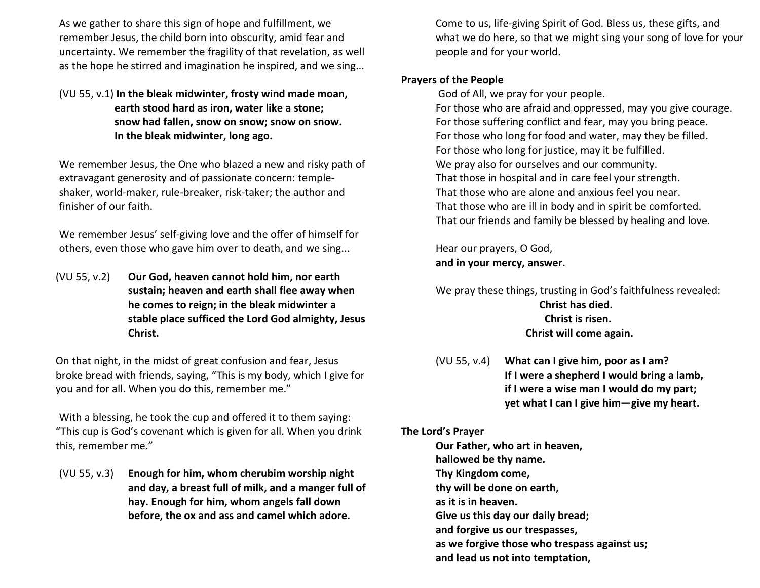As we gather to share this sign of hope and fulfillment, we remember Jesus, the child born into obscurity, amid fear and uncertainty. We remember the fragility of that revelation, as well as the hope he stirred and imagination he inspired, and we sing...

### (VU 55, v.1) **In the bleak midwinter, frosty wind made moan, earth stood hard as iron, water like a stone; snow had fallen, snow on snow; snow on snow. In the bleak midwinter, long ago.**

We remember Jesus, the One who blazed a new and risky path of extravagant generosity and of passionate concern: templeshaker, world-maker, rule-breaker, risk-taker; the author and finisher of our faith.

 We remember Jesus' self-giving love and the offer of himself for others, even those who gave him over to death, and we sing...

(VU 55, v.2) **Our God, heaven cannot hold him, nor earth sustain; heaven and earth shall flee away when he comes to reign; in the bleak midwinter a stable place sufficed the Lord God almighty, Jesus Christ.** 

On that night, in the midst of great confusion and fear, Jesus broke bread with friends, saying, "This is my body, which I give for you and for all. When you do this, remember me."

With a blessing, he took the cup and offered it to them saying: "This cup is God's covenant which is given for all. When you drink this, remember me."

(VU 55, v.3) **Enough for him, whom cherubim worship night and day, a breast full of milk, and a manger full of hay. Enough for him, whom angels fall down before, the ox and ass and camel which adore.** 

Come to us, life-giving Spirit of God. Bless us, these gifts, and what we do here, so that we might sing your song of love for your people and for your world.

## **Prayers of the People**

God of All, we pray for your people.

For those who are afraid and oppressed, may you give courage. For those suffering conflict and fear, may you bring peace. For those who long for food and water, may they be filled. For those who long for justice, may it be fulfilled. We pray also for ourselves and our community. That those in hospital and in care feel your strength. That those who are alone and anxious feel you near. That those who are ill in body and in spirit be comforted. That our friends and family be blessed by healing and love.

 Hear our prayers, O God,  **and in your mercy, answer.** 

We pray these things, trusting in God's faithfulness revealed:  **Christ has died. Christ is risen. Christ will come again.** 

 (VU 55, v.4) **What can I give him, poor as I am? If I were a shepherd I would bring a lamb, if I were a wise man I would do my part; yet what I can I give him—give my heart.** 

#### **The Lord's Prayer**

**Our Father, who art in heaven, hallowed be thy name. Thy Kingdom come, thy will be done on earth, as it is in heaven. Give us this day our daily bread; and forgive us our trespasses, as we forgive those who trespass against us; and lead us not into temptation,**